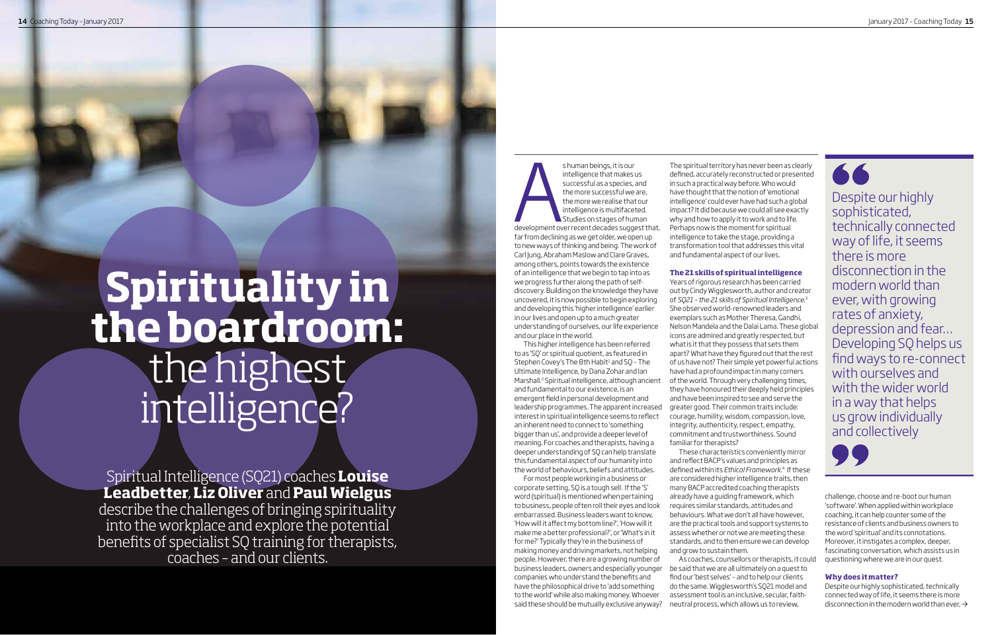# Spirituality in<br>the boardroom: the highest<br>intelligence?

Spiritual Intelligence (SQ21) coaches Louise<br>Leadbetter, Liz Oliver and Paul Wielgus describe the challenges of bringing spirituality<br>into the workplace and explore the potential<br>benefits of specialist SQ training for therapists,<br>coaches - and our clients.

s human beings, it is our intelligence that makes us successful as a species, and the more successful we are, the more we realise that our intelligence is multifaceted. Studies on stages of human development over recent decades suggest that, far from declining as we get older, we open up to new ways of thinking and being. The work of Carl Jung, Abraham Maslow and Clare Graves, among others, points towards the existence of an intelligence that we begin to tap into as we progress further along the path of selfdiscovery. Building on the knowledge they have uncovered, it is now possible to begin exploring and developing this 'higher intelligence' earlier in our lives and open up to a much greater understanding of ourselves, our life experience and our place in the world.

This higher intelligence has been referred to as 'SQ' or spiritual quotient, as featured in Stephen Covey's The 8th Habit<sup>1</sup> and SO - The Ultimate Intelligence, by Dana Zohar and lan Marshall.<sup>2</sup> Spiritual intelligence, although ancient and fundamental to our existence, is an emergent field in personal development and leadership programmes. The apparent increased interest in spiritual intelligence seems to reflect an inherent need to connect to 'something bigger than us', and provide a deeper level of meaning. For coaches and therapists, having a deeper understanding of SQ can help translate this fundamental aspect of our humanity into the world of behaviours, beliefs and attitudes.

For most people working in a business or corporate setting, SQ is a tough sell. If the 'S' word (spiritual) is mentioned when pertaining to business, people of ten roll their eves and look embarrassed. Business leaders want to know, 'How will it affect my bottom line?', 'How will it make me a better professional?', or 'What's in it for me?' Typically they're in the business of making money and driving markets, not helping people. However, there are a growing number of business leaders, owners and especially younger companies who understand the benefits and have the philosophical drive to 'add something to the world' while also making money. Whoever said these should be mutually exclusive anyway?

The spiritual territory has never been as clearly defined, accurately reconstructed or presented in such a practical way before. Who would have thought that the notion of 'emotional intelligence' could ever have had such a global impact? It did because we could all see exactly why and how to apply it to work and to life. Perhaps now is the moment for spiritual intelligence to take the stage, providing a transformation tool that addresses this vital and fundamental aspect of our lives.

# The 21 skills of spiritual intelligence

Years of rigorous research has been carried out by Cindy Wigglesworth, author and creator of SQ21 - the 21 skills of Spiritual Intelligence.<sup>3</sup> She observed world-renowned leaders and exemplars such as Mother Theresa, Gandhi, Nelson Mandela and the Dalai Lama. These global icons are admired and greatly respected, but what is it that they possess that sets them apart? What have they figured out that the rest of us have not? Their simple yet powerful actions have had a profound impact in many corners of the world. Through very challenging times, they have honoured their deeply held principles and have been inspired to see and serve the greater good. Their common traits include: courage, humility, wisdom, compassion, love, integrity, authenticity, respect, empathy, commitment and trustworthiness. Sound familiar for therapists?

These characteristics conveniently mirror and reflect BACP's values and principles as defined within its Ethical Framework.<sup>4</sup> If these are considered higher intelligence traits, then many BACP accredited coaching therapists already have a quiding framework, which requires similar standards, attitudes and behaviours. What we don't all have however, are the practical tools and support systems to assess whether or not we are meeting these standards, and to then ensure we can develop and grow to sustain them.

As coaches, counsellors or therapists, it could be said that we are all ultimately on a quest to find our 'best selves' - and to help our clients do the same. Wigglesworth's SQ21 model and assessment tool is an inclusive, secular, faithneutral process, which allows us to review,



Despite our highly sophisticated, technically connected way of life, it seems there is more disconnection in the modern world than ever, with growing rates of anxiety, depression and fear... Developing SQ helps us find ways to re-connect with ourselves and with the wider world in a way that helps us grow individually and collectively



challenge, choose and re-boot our human 'software'. When applied within workplace coaching, it can help counter some of the resistance of clients and business owners to the word 'spiritual' and its connotations. Moreover, it instigates a complex, deeper fascinating conversation, which assists us in questioning where we are in our quest.

# Why does it matter?

Despite our highly sophisticated, technically connected way of life, it seems there is more disconnection in the modern world than ever,  $\rightarrow$